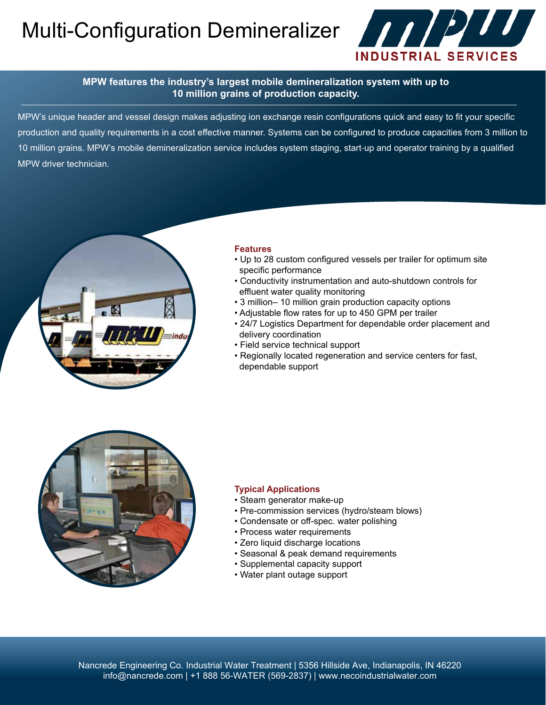## Multi-Configuration Demineralizer **And Alternation**



#### **MPW features the industry's largest mobile demineralization system with up to 10 million grains of production capacity.**

MPW's unique header and vessel design makes adjusting ion exchange resin configurations quick and easy to fit your specific production and quality requirements in a cost effective manner. Systems can be configured to produce capacities from 3 million to 10 million grains. MPW's mobile demineralization service includes system staging, start‐up and operator training by a qualified MPW driver technician.



#### **Features**

- Up to 28 custom configured vessels per trailer for optimum site specific performance
- Conductivity instrumentation and auto-shutdown controls for effluent water quality monitoring
- 3 million– 10 million grain production capacity options
- Adjustable flow rates for up to 450 GPM per trailer
- 24/7 Logistics Department for dependable order placement and delivery coordination
- Field service technical support
- Regionally located regeneration and service centers for fast, dependable support



#### **Typical Applications**

- Steam generator make-up
- Pre-commission services (hydro/steam blows)
- Condensate or off-spec. water polishing
- Process water requirements
- Zero liquid discharge locations
- Seasonal & peak demand requirements
- Supplemental capacity support
- Water plant outage support